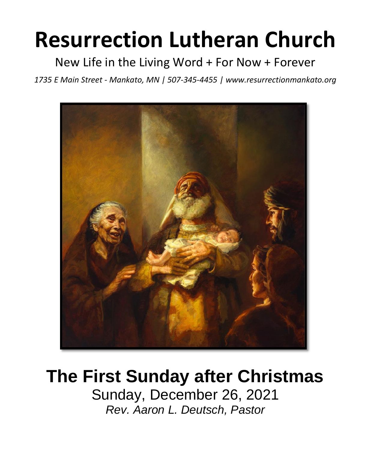# **Resurrection Lutheran Church**

New Life in the Living Word + For Now + Forever

*1735 E Main Street - Mankato, MN | 507-345-4455 | [www.resurrectionmankato.org](http://www.resurrectionmankato.org/)*



## **The First Sunday after Christmas**

Sunday, December 26, 2021 *Rev. Aaron L. Deutsch, Pastor*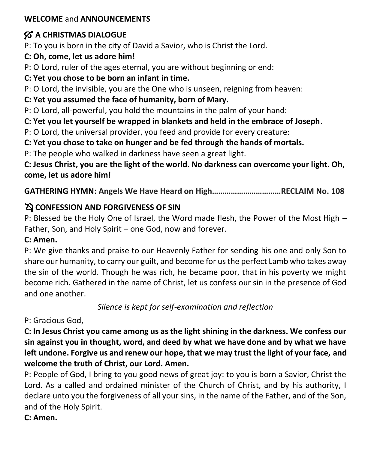#### **WELCOME** and **ANNOUNCEMENTS**

#### $\%$  **A CHRISTMAS DIALOGUE**

P: To you is born in the city of David a Savior, who is Christ the Lord.

**C: Oh, come, let us adore him!**

P: O Lord, ruler of the ages eternal, you are without beginning or end:

#### **C: Yet you chose to be born an infant in time.**

P: O Lord, the invisible, you are the One who is unseen, reigning from heaven:

#### **C: Yet you assumed the face of humanity, born of Mary.**

P: O Lord, all-powerful, you hold the mountains in the palm of your hand:

**C: Yet you let yourself be wrapped in blankets and held in the embrace of Joseph**.

P: O Lord, the universal provider, you feed and provide for every creature:

**C: Yet you chose to take on hunger and be fed through the hands of mortals.** 

P: The people who walked in darkness have seen a great light.

**C: Jesus Christ, you are the light of the world. No darkness can overcome your light. Oh, come, let us adore him!** 

**GATHERING HYMN: Angels We Have Heard on High……………………………RECLAIM No. 108**

#### **CONFESSION AND FORGIVENESS OF SIN**

P: Blessed be the Holy One of Israel, the Word made flesh, the Power of the Most High – Father, Son, and Holy Spirit – one God, now and forever.

#### **C: Amen.**

P: We give thanks and praise to our Heavenly Father for sending his one and only Son to share our humanity, to carry our guilt, and become for us the perfect Lamb who takes away the sin of the world. Though he was rich, he became poor, that in his poverty we might become rich. Gathered in the name of Christ, let us confess our sin in the presence of God and one another.

*Silence is kept for self-examination and reflection*

#### P: Gracious God,

**C: In Jesus Christ you came among us as the light shining in the darkness. We confess our sin against you in thought, word, and deed by what we have done and by what we have left undone. Forgive us and renew our hope, that we may trust the light of your face, and welcome the truth of Christ, our Lord. Amen.** 

P: People of God, I bring to you good news of great joy: to you is born a Savior, Christ the Lord. As a called and ordained minister of the Church of Christ, and by his authority, I declare unto you the forgiveness of all your sins, in the name of the Father, and of the Son, and of the Holy Spirit.

**C: Amen.**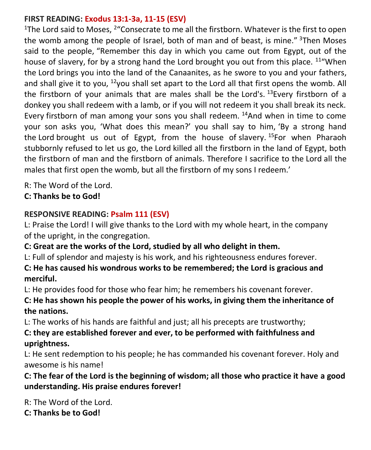#### **FIRST READING: Exodus 13:1-3a, 11-15 (ESV)**

<sup>1</sup>The Lord said to Moses, <sup>2</sup> "Consecrate to me all the firstborn. Whatever is the first to open the womb among the people of Israel, both of man and of beast, is mine."  $3$ Then Moses said to the people, "Remember this day in which you came out from Egypt, out of the house of slavery, for by a strong hand the Lord brought you out from this place. <sup>11</sup> "When the Lord brings you into the land of the Canaanites, as he swore to you and your fathers, and shall give it to you, <sup>12</sup>you shall set apart to the Lord all that first opens the womb. All the firstborn of your animals that are males shall be the Lord's.  $^{13}$ Every firstborn of a donkey you shall redeem with a lamb, or if you will not redeem it you shall break its neck. Every firstborn of man among your sons you shall redeem. <sup>14</sup>And when in time to come your son asks you, 'What does this mean?' you shall say to him, 'By a strong hand the Lord brought us out of Egypt, from the house of slavery.  $15$ For when Pharaoh stubbornly refused to let us go, the Lord killed all the firstborn in the land of Egypt, both the firstborn of man and the firstborn of animals. Therefore I sacrifice to the Lord all the males that first open the womb, but all the firstborn of my sons I redeem.'

R: The Word of the Lord.

**C: Thanks be to God!** 

#### **RESPONSIVE READING: Psalm 111 (ESV)**

L: Praise the Lord! I will give thanks to the Lord with my whole heart, in the company of the upright, in the congregation.

**C: Great are the works of the Lord, studied by all who delight in them.**

L: Full of splendor and majesty is his work, and his righteousness endures forever.

**C: He has caused his wondrous works to be remembered; the Lord is gracious and merciful.**

L: He provides food for those who fear him; he remembers his covenant forever.

**C: He has shown his people the power of his works, in giving them the inheritance of the nations.**

L: The works of his hands are faithful and just; all his precepts are trustworthy;

**C: they are established forever and ever, to be performed with faithfulness and uprightness.**

L: He sent redemption to his people; he has commanded his covenant forever. Holy and awesome is his name!

**C: The fear of the Lord is the beginning of wisdom; all those who practice it have a good understanding. His praise endures forever!**

R: The Word of the Lord. **C: Thanks be to God!**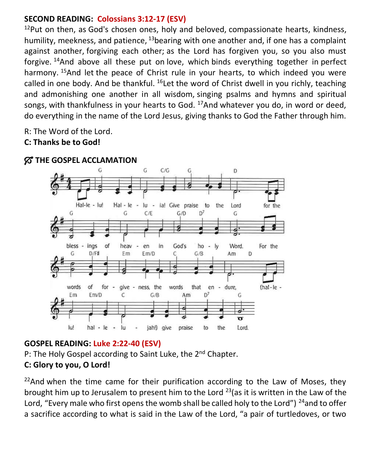#### **SECOND READING: Colossians 3:12-17 (ESV)**

 $12$ Put on then, as God's chosen ones, holy and beloved, compassionate hearts, kindness, humility, meekness, and patience,  $13$  bearing with one another and, if one has a complaint against another, forgiving each other; as the Lord has forgiven you, so you also must forgive. <sup>14</sup>And above all these put on love, which binds everything together in perfect harmony. <sup>15</sup>And let the peace of Christ rule in your hearts, to which indeed you were called in one body. And be thankful.  $^{16}$  Let the word of Christ dwell in you richly, teaching and admonishing one another in all wisdom, singing psalms and hymns and spiritual songs, with thankfulness in your hearts to God.  $17$ And whatever you do, in word or deed, do everything in the name of the Lord Jesus, giving thanks to God the Father through him.

R: The Word of the Lord.

#### **C: Thanks be to God!**



#### $\%$  **THE GOSPEL ACCLAMATION**

#### **GOSPEL READING: Luke 2:22-40 (ESV)**

P: The Holy Gospel according to Saint Luke, the 2<sup>nd</sup> Chapter.

#### **C: Glory to you, O Lord!**

 $22$ And when the time came for their purification according to the Law of Moses, they brought him up to Jerusalem to present him to the Lord  $^{23}$  (as it is written in the Law of the Lord, "Every male who first opens the womb shall be called holy to the Lord")  $^{24}$ and to offer a sacrifice according to what is said in the Law of the Lord, "a pair of turtledoves, or two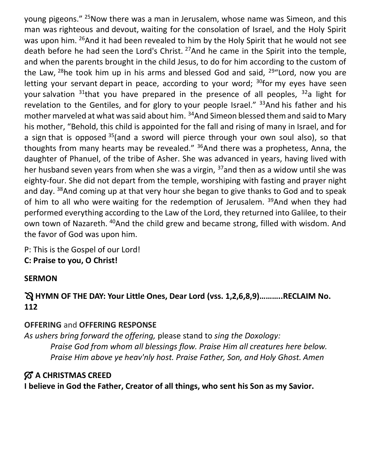young pigeons." <sup>25</sup>Now there was a man in Jerusalem, whose name was Simeon, and this man was righteous and devout, waiting for the consolation of Israel, and the Holy Spirit was upon him. <sup>26</sup>And it had been revealed to him by the Holy Spirit that he would not see death before he had seen the Lord's Christ. <sup>27</sup>And he came in the Spirit into the temple, and when the parents brought in the child Jesus, to do for him according to the custom of the Law,  $^{28}$ he took him up in his arms and blessed God and said,  $^{29}$ "Lord, now you are letting your servant depart in peace, according to your word;  $30$  for my eyes have seen your salvation  $31$ <sup>that</sup> you have prepared in the presence of all peoples,  $32$ <sup>a</sup> light for revelation to the Gentiles, and for glory to your people Israel."  $33$ And his father and his mother marveled at what was said about him. <sup>34</sup>And Simeon blessed them and said to Mary his mother, "Behold, this child is appointed for the fall and rising of many in Israel, and for a sign that is opposed  $35$  (and a sword will pierce through your own soul also), so that thoughts from many hearts may be revealed."  $36$ And there was a prophetess, Anna, the daughter of Phanuel, of the tribe of Asher. She was advanced in years, having lived with her husband seven years from when she was a virgin,  $37$  and then as a widow until she was eighty-four. She did not depart from the temple, worshiping with fasting and prayer night and day. <sup>38</sup>And coming up at that very hour she began to give thanks to God and to speak of him to all who were waiting for the redemption of Jerusalem.  $39$ And when they had performed everything according to the Law of the Lord, they returned into Galilee, to their own town of Nazareth. <sup>40</sup>And the child grew and became strong, filled with wisdom. And the favor of God was upon him.

P: This is the Gospel of our Lord! **C: Praise to you, O Christ!** 

#### **SERMON**

#### **HYMN OF THE DAY: Your Little Ones, Dear Lord (vss. 1,2,6,8,9)………..RECLAIM No. 112**

#### **OFFERING** and **OFFERING RESPONSE**

*As ushers bring forward the offering,* please stand to *sing the Doxology: Praise God from whom all blessings flow. Praise Him all creatures here below. Praise Him above ye heav'nly host. Praise Father, Son, and Holy Ghost. Amen*

#### $\%$  **A CHRISTMAS CREED**

**I believe in God the Father, Creator of all things, who sent his Son as my Savior.**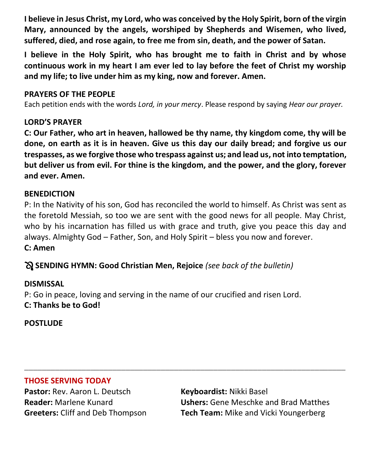**I believe in Jesus Christ, my Lord, who was conceived by the Holy Spirit, born of the virgin Mary, announced by the angels, worshiped by Shepherds and Wisemen, who lived, suffered, died, and rose again, to free me from sin, death, and the power of Satan.**

**I believe in the Holy Spirit, who has brought me to faith in Christ and by whose continuous work in my heart I am ever led to lay before the feet of Christ my worship and my life; to live under him as my king, now and forever. Amen.** 

#### **PRAYERS OF THE PEOPLE**

Each petition ends with the words *Lord, in your mercy*. Please respond by saying *Hear our prayer.*

#### **LORD'S PRAYER**

**C: Our Father, who art in heaven, hallowed be thy name, thy kingdom come, thy will be done, on earth as it is in heaven. Give us this day our daily bread; and forgive us our trespasses, as we forgive those who trespass against us; and lead us, not into temptation, but deliver us from evil. For thine is the kingdom, and the power, and the glory, forever and ever. Amen.**

#### **BENEDICTION**

P: In the Nativity of his son, God has reconciled the world to himself. As Christ was sent as the foretold Messiah, so too we are sent with the good news for all people. May Christ, who by his incarnation has filled us with grace and truth, give you peace this day and always. Almighty God – Father, Son, and Holy Spirit – bless you now and forever. **C: Amen**

**\_\_\_\_\_\_\_\_\_\_\_\_\_\_\_\_\_\_\_\_\_\_\_\_\_\_\_\_\_\_\_\_\_\_\_\_\_\_\_\_\_\_\_\_\_\_\_\_\_\_\_\_\_\_\_\_\_\_\_\_\_\_\_\_\_\_\_\_\_\_\_\_\_**

**SENDING HYMN: Good Christian Men, Rejoice** *(see back of the bulletin)*

#### **DISMISSAL**

P: Go in peace, loving and serving in the name of our crucified and risen Lord. **C: Thanks be to God!**

**POSTLUDE**

#### **THOSE SERVING TODAY**

**Pastor:** Rev. Aaron L. Deutsch **Keyboardist:** Nikki Basel

**Reader:** Marlene Kunard **Ushers:** Gene Meschke and Brad Matthes **Greeters:** Cliff and Deb Thompson **Tech Team:** Mike and Vicki Youngerberg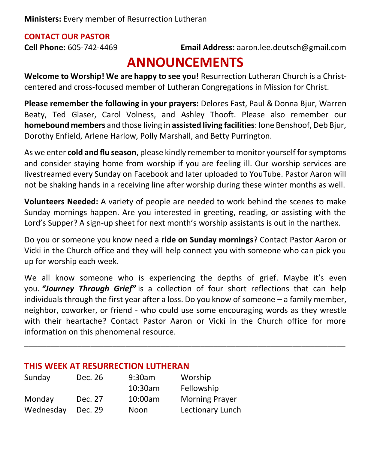#### **CONTACT OUR PASTOR**

**Cell Phone:** 605-742-4469 **Email Address:** [aaron.lee.deutsch@gmail.com](mailto:aaron.lee.deutsch@gmail.com)

### **ANNOUNCEMENTS**

**Welcome to Worship! We are happy to see you!** Resurrection Lutheran Church is a Christcentered and cross-focused member of Lutheran Congregations in Mission for Christ.

**Please remember the following in your prayers:** Delores Fast, Paul & Donna Bjur, Warren Beaty, Ted Glaser, Carol Volness, and Ashley Thooft. Please also remember our **homebound members** and those living in **assisted living facilities**: Ione Benshoof, Deb Bjur, Dorothy Enfield, Arlene Harlow, Polly Marshall, and Betty Purrington.

As we enter **cold and flu season**, please kindly remember to monitor yourself for symptoms and consider staying home from worship if you are feeling ill. Our worship services are livestreamed every Sunday on Facebook and later uploaded to YouTube. Pastor Aaron will not be shaking hands in a receiving line after worship during these winter months as well.

**Volunteers Needed:** A variety of people are needed to work behind the scenes to make Sunday mornings happen. Are you interested in greeting, reading, or assisting with the Lord's Supper? A sign-up sheet for next month's worship assistants is out in the narthex.

Do you or someone you know need a **ride on Sunday mornings**? Contact Pastor Aaron or Vicki in the Church office and they will help connect you with someone who can pick you up for worship each week.

We all know someone who is experiencing the depths of grief. Maybe it's even you. *"Journey Through Grief"* is a collection of four short reflections that can help individuals through the first year after a loss. Do you know of someone – a family member, neighbor, coworker, or friend - who could use some encouraging words as they wrestle with their heartache? Contact Pastor Aaron or Vicki in the Church office for more information on this phenomenal resource.

**\_\_\_\_\_\_\_\_\_\_\_\_\_\_\_\_\_\_\_\_\_\_\_\_\_\_\_\_\_\_\_\_\_\_\_\_\_\_\_\_\_\_\_\_\_\_\_\_\_\_\_\_\_\_\_\_\_\_\_\_\_\_\_\_\_\_\_\_\_\_\_\_\_**

#### **THIS WEEK AT RESURRECTION LUTHERAN**

| Sunday    | Dec. 26 | 9:30am  | Worship               |
|-----------|---------|---------|-----------------------|
|           |         | 10:30am | Fellowship            |
| Monday    | Dec. 27 | 10:00am | <b>Morning Prayer</b> |
| Wednesday | Dec. 29 | Noon    | Lectionary Lunch      |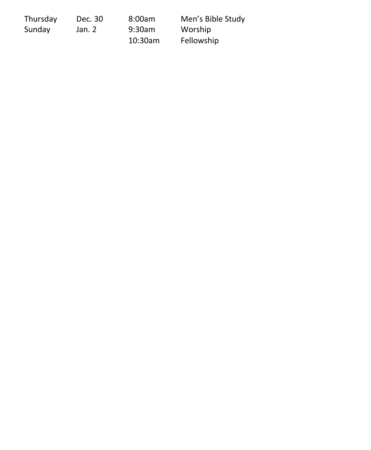| Thursday | Dec. 30 | 8:00am     | Men's Bible Study |
|----------|---------|------------|-------------------|
| Sunday   | Jan. 2  | 9:30am     | Worship           |
|          |         | $10:30$ am | Fellowship        |